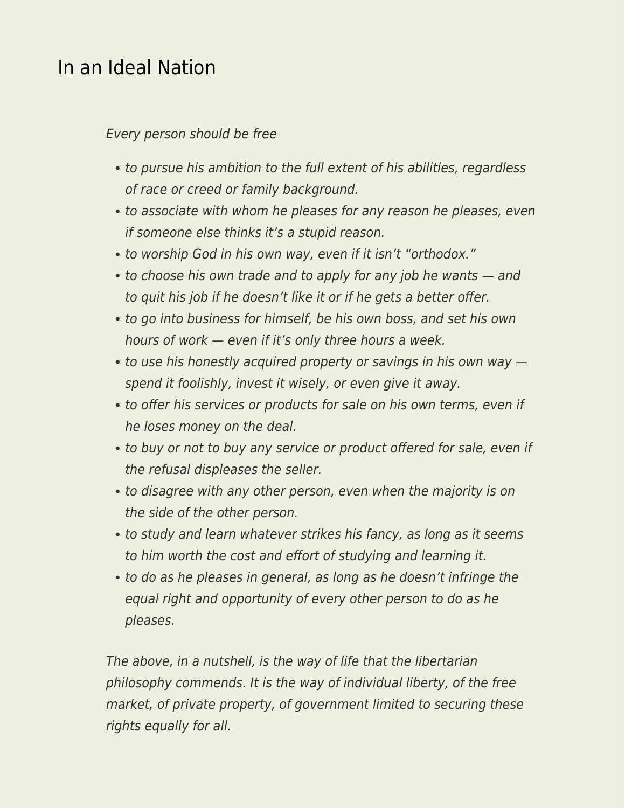## [In an Ideal Nation](https://everything-voluntary.com/in-an-ideal-nation)

## Every person should be free

- to pursue his ambition to the full extent of his abilities, regardless of race or creed or family background.
- to associate with whom he pleases for any reason he pleases, even if someone else thinks it's a stupid reason.
- to worship God in his own way, even if it isn't "orthodox."
- to choose his own trade and to apply for any job he wants and to quit his job if he doesn't like it or if he gets a better offer.
- to go into business for himself, be his own boss, and set his own hours of work — even if it's only three hours a week.
- to use his honestly acquired property or savings in his own way  $$ spend it foolishly, invest it wisely, or even give it away.
- to offer his services or products for sale on his own terms, even if he loses money on the deal.
- to buy or not to buy any service or product offered for sale, even if the refusal displeases the seller.
- to disagree with any other person, even when the majority is on the side of the other person.
- to study and learn whatever strikes his fancy, as long as it seems to him worth the cost and effort of studying and learning it.
- to do as he pleases in general, as long as he doesn't infringe the equal right and opportunity of every other person to do as he pleases.

The above, in a nutshell, is the way of life that the libertarian philosophy commends. It is the way of individual liberty, of the free market, of private property, of government limited to securing these rights equally for all.